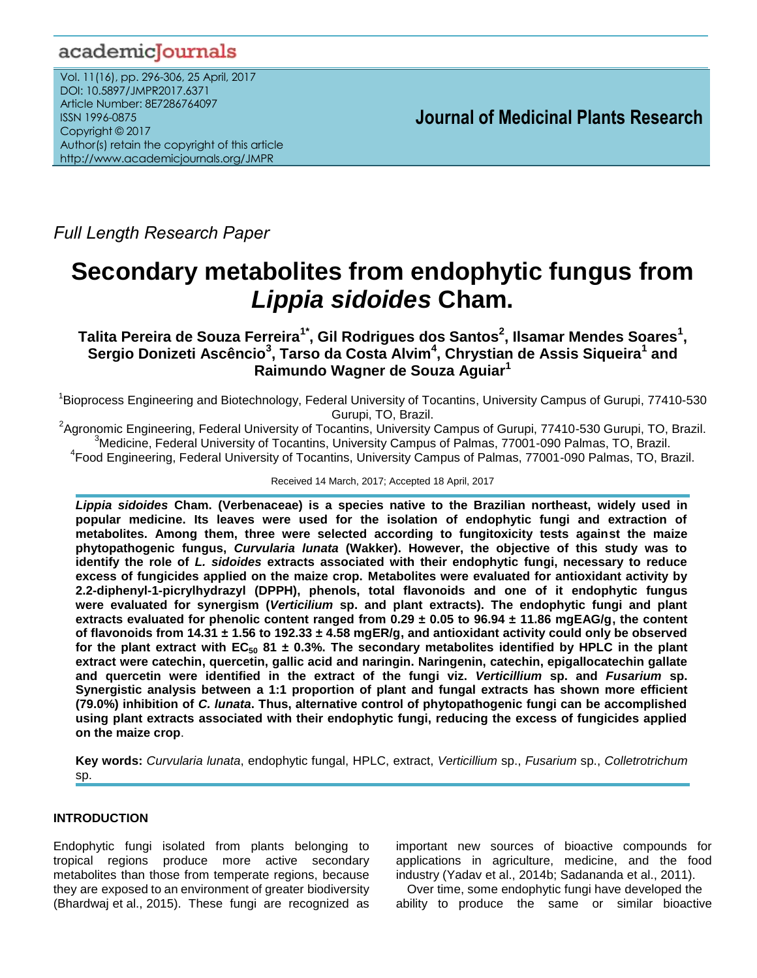# academicJournals

Vol. 11(16), pp. 296-306, 25 April, 2017 DOI: 10.5897/JMPR2017.6371 Article Number: 8E7286764097 ISSN 1996-0875 Copyright © 2017 Author(s) retain the copyright of this article http://www.academicjournals.org/JMPR

 **Journal of Medicinal Plants Research**

*Full Length Research Paper*

# **Secondary metabolites from endophytic fungus from**  *Lippia sidoides* **Cham.**

**Talita Pereira de Souza Ferreira1\* , Gil Rodrigues dos Santos<sup>2</sup> , Ilsamar Mendes Soares<sup>1</sup> , Sergio Donizeti Ascêncio<sup>3</sup> , Tarso da Costa Alvim<sup>4</sup> , Chrystian de Assis Siqueira<sup>1</sup> and Raimundo Wagner de Souza Aguiar<sup>1</sup>**

<sup>1</sup>Bioprocess Engineering and Biotechnology, Federal University of Tocantins, University Campus of Gurupi, 77410-530 Gurupi, TO, Brazil.

<sup>2</sup>Agronomic Engineering, Federal University of Tocantins, University Campus of Gurupi, 77410-530 Gurupi, TO, Brazil.  $3$ Medicine, Federal University of Tocantins, University Campus of Palmas, 77001-090 Palmas, TO, Brazil.

4 Food Engineering, Federal University of Tocantins, University Campus of Palmas, 77001-090 Palmas, TO, Brazil.

# Received 14 March, 2017; Accepted 18 April, 2017

*Lippia sidoides* **Cham. (Verbenaceae) is a species native to the Brazilian northeast, widely used in popular medicine. Its leaves were used for the isolation of endophytic fungi and extraction of metabolites. Among them, three were selected according to fungitoxicity tests against the maize phytopathogenic fungus,** *Curvularia lunata* **(Wakker). However, the objective of this study was to identify the role of** *L. sidoides* **extracts associated with their endophytic fungi, necessary to reduce excess of fungicides applied on the maize crop. Metabolites were evaluated for antioxidant activity by 2.2-diphenyl-1-picrylhydrazyl (DPPH), phenols, total flavonoids and one of it endophytic fungus were evaluated for synergism (***Verticilium* **sp. and plant extracts). The endophytic fungi and plant extracts evaluated for phenolic content ranged from 0.29 ± 0.05 to 96.94 ± 11.86 mgEAG/g, the content of flavonoids from 14.31 ± 1.56 to 192.33 ± 4.58 mgER/g, and antioxidant activity could only be observed**  for the plant extract with  $EC_{50}$  81  $\pm$  0.3%. The secondary metabolites identified by HPLC in the plant **extract were catechin, quercetin, gallic acid and naringin. Naringenin, catechin, epigallocatechin gallate and quercetin were identified in the extract of the fungi viz.** *Verticillium* **sp. and** *Fusarium* **sp. Synergistic analysis between a 1:1 proportion of plant and fungal extracts has shown more efficient (79.0%) inhibition of** *C. lunata***. Thus, alternative control of phytopathogenic fungi can be accomplished using plant extracts associated with their endophytic fungi, reducing the excess of fungicides applied on the maize crop**.

**Key words:** *Curvularia lunata*, endophytic fungal, HPLC, extract, *Verticillium* sp., *Fusarium* sp., *Colletrotrichum* sp.

# **INTRODUCTION**

Endophytic fungi isolated from plants belonging to tropical regions produce more active secondary metabolites than those from temperate regions, because they are exposed to an environment of greater biodiversity (Bhardwaj et al., 2015). These fungi are recognized as important new sources of bioactive compounds for applications in agriculture, medicine, and the food industry (Yadav et al., 2014b; Sadananda et al., 2011).

Over time, some endophytic fungi have developed the ability to produce the same or similar bioactive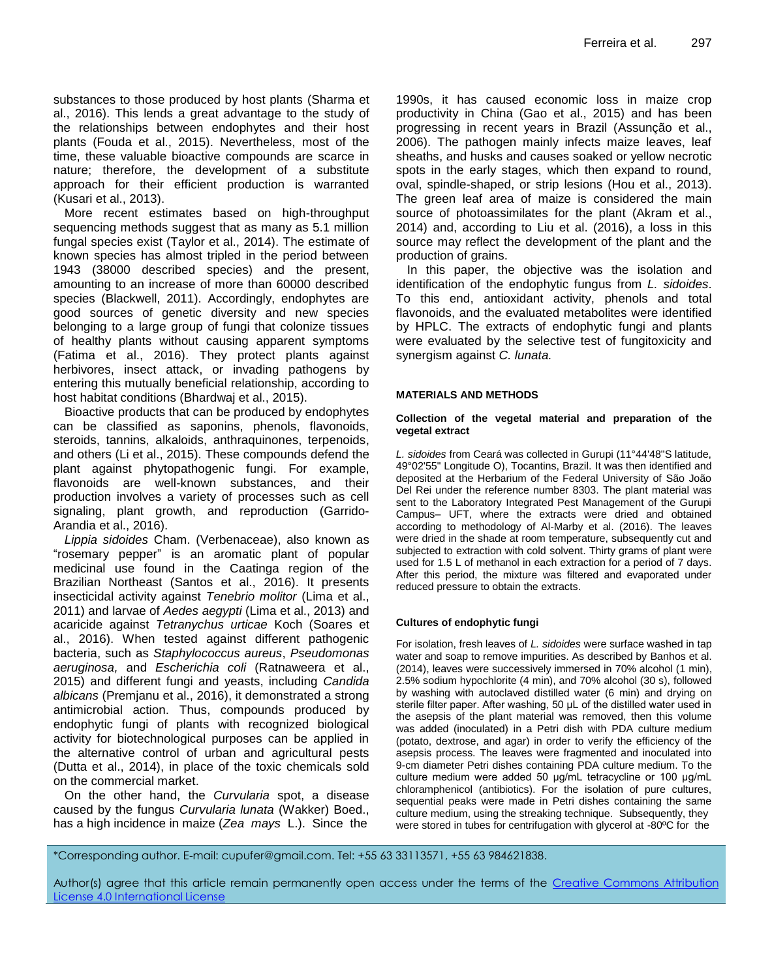substances to those produced by host plants (Sharma et al., 2016). This lends a great advantage to the study of the relationships between endophytes and their host plants (Fouda et al., 2015). Nevertheless, most of the time, these valuable bioactive compounds are scarce in nature; therefore, the development of a substitute approach for their efficient production is warranted (Kusari et al., 2013).

More recent estimates based on high-throughput sequencing methods suggest that as many as 5.1 million fungal species exist (Taylor et al., 2014). The estimate of known species has almost tripled in the period between 1943 (38000 described species) and the present, amounting to an increase of more than 60000 described species (Blackwell, 2011). Accordingly, endophytes are good sources of genetic diversity and new species belonging to a large group of fungi that colonize tissues of healthy plants without causing apparent symptoms (Fatima et al., 2016). They protect plants against herbivores, insect attack, or invading pathogens by entering this mutually beneficial relationship, according to host habitat conditions (Bhardwaj et al., 2015).

Bioactive products that can be produced by endophytes can be classified as saponins, phenols, flavonoids, steroids, tannins, alkaloids, anthraquinones, terpenoids, and others (Li et al., 2015). These compounds defend the plant against phytopathogenic fungi. For example, flavonoids are well-known substances, and their production involves a variety of processes such as cell signaling, plant growth, and reproduction (Garrido-Arandia et al., 2016).

*Lippia sidoides* Cham. (Verbenaceae), also known as "rosemary pepper" is an aromatic plant of popular medicinal use found in the Caatinga region of the Brazilian Northeast (Santos et al., 2016). It presents insecticidal activity against *Tenebrio molitor* (Lima et al., 2011) and larvae of *Aedes aegypti* (Lima et al., 2013) and acaricide against *Tetranychus urticae* Koch (Soares et al., 2016). When tested against different pathogenic bacteria, such as *Staphylococcus aureus*, *Pseudomonas aeruginosa,* and *Escherichia coli* (Ratnaweera et al., 2015) and different fungi and yeasts, including *Candida albicans* (Premjanu et al., 2016), it demonstrated a strong antimicrobial action. Thus, compounds produced by endophytic fungi of plants with recognized biological activity for biotechnological purposes can be applied in the alternative control of urban and agricultural pests (Dutta et al., 2014), in place of the toxic chemicals sold on the commercial market.

On the other hand, the *Curvularia* spot, a disease caused by the fungus *Curvularia lunata* (Wakker) Boed., has a high incidence in maize (*Zea mays* L.). Since the

1990s, it has caused economic loss in maize crop productivity in China (Gao et al., 2015) and has been progressing in recent years in Brazil (Assunção et al., 2006). The pathogen mainly infects maize leaves, leaf sheaths, and husks and causes soaked or yellow necrotic spots in the early stages, which then expand to round, oval, spindle-shaped, or strip lesions (Hou et al., 2013). The green leaf area of maize is considered the main source of photoassimilates for the plant (Akram et al., 2014) and, according to Liu et al. (2016), a loss in this source may reflect the development of the plant and the production of grains.

In this paper, the objective was the isolation and identification of the endophytic fungus from *L. sidoides*. To this end, antioxidant activity, phenols and total flavonoids, and the evaluated metabolites were identified by HPLC. The extracts of endophytic fungi and plants were evaluated by the selective test of fungitoxicity and synergism against *C. lunata.*

# **MATERIALS AND METHODS**

#### **Collection of the vegetal material and preparation of the vegetal extract**

*L. sidoides* from Ceará was collected in Gurupi (11°44'48"S latitude, 49°02'55" Longitude O), Tocantins, Brazil. It was then identified and deposited at the Herbarium of the Federal University of São João Del Rei under the reference number 8303. The plant material was sent to the Laboratory Integrated Pest Management of the Gurupi Campus– UFT, where the extracts were dried and obtained according to methodology of Al-Marby et al. (2016). The leaves were dried in the shade at room temperature, subsequently cut and subjected to extraction with cold solvent. Thirty grams of plant were used for 1.5 L of methanol in each extraction for a period of 7 days. After this period, the mixture was filtered and evaporated under reduced pressure to obtain the extracts.

# **Cultures of endophytic fungi**

For isolation, fresh leaves of *L. sidoides* were surface washed in tap water and soap to remove impurities. As described by Banhos et al. (2014), leaves were successively immersed in 70% alcohol (1 min), 2.5% sodium hypochlorite (4 min), and 70% alcohol (30 s), followed by washing with autoclaved distilled water (6 min) and drying on sterile filter paper. After washing, 50 μL of the distilled water used in the asepsis of the plant material was removed, then this volume was added (inoculated) in a Petri dish with PDA culture medium (potato, dextrose, and agar) in order to verify the efficiency of the asepsis process. The leaves were fragmented and inoculated into 9-cm diameter Petri dishes containing PDA culture medium. To the culture medium were added 50 μg/mL tetracycline or 100 μg/mL chloramphenicol (antibiotics). For the isolation of pure cultures, sequential peaks were made in Petri dishes containing the same culture medium, using the streaking technique. Subsequently, they were stored in tubes for centrifugation with glycerol at -80ºC for the

\*Corresponding author. E-mail: cupufer@gmail.com. Tel: +55 63 33113571, +55 63 984621838.

Author(s) agree that this article remain permanently open access under the terms of the Creative Commons Attribution License 4.0 [International](http://creativecommons.org/licenses/by/4.0/deed.en_US) License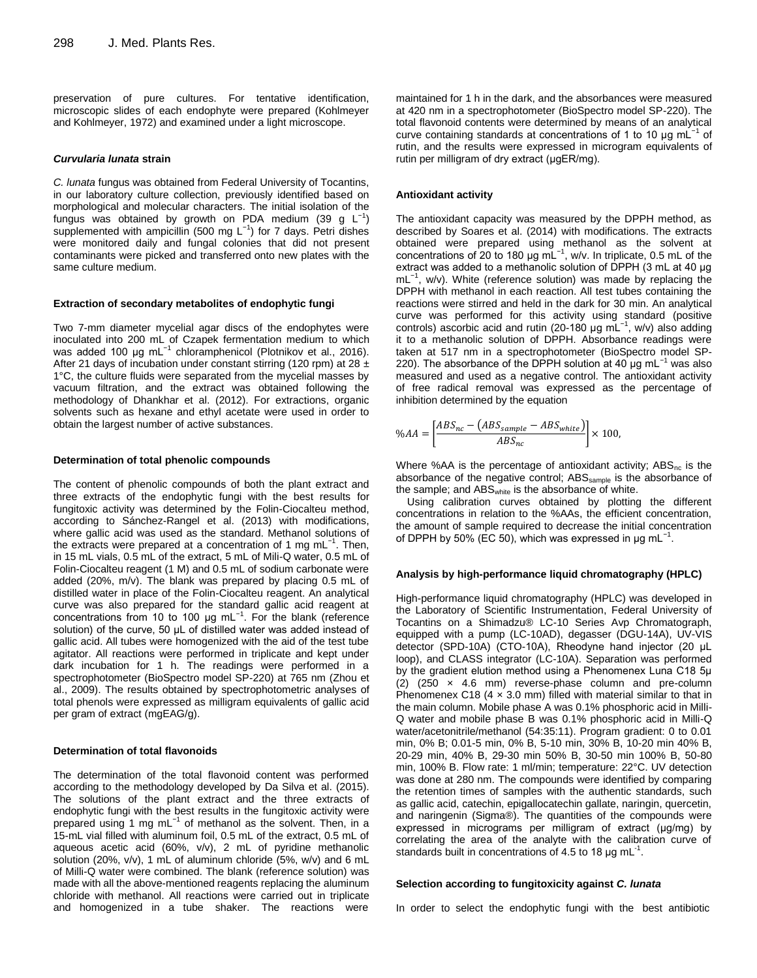preservation of pure cultures. For tentative identification, microscopic slides of each endophyte were prepared (Kohlmeyer and Kohlmeyer, 1972) and examined under a light microscope.

#### *Curvularia lunata* **strain**

*C. lunata* fungus was obtained from Federal University of Tocantins, in our laboratory culture collection, previously identified based on morphological and molecular characters*.* The initial isolation of the fungus was obtained by growth on PDA medium (39 g  $L^{-1}$ ) supplemented with ampicillin (500 mg L<sup>-1</sup>) for 7 days. Petri dishes were monitored daily and fungal colonies that did not present contaminants were picked and transferred onto new plates with the same culture medium.

#### **Extraction of secondary metabolites of endophytic fungi**

Two 7-mm diameter mycelial agar discs of the endophytes were inoculated into 200 mL of Czapek fermentation medium to which was added 100 μg mL<sup>-1</sup> chloramphenicol (Plotnikov et al., 2016). After 21 days of incubation under constant stirring (120 rpm) at 28  $\pm$ 1°C, the culture fluids were separated from the mycelial masses by vacuum filtration, and the extract was obtained following the methodology of Dhankhar et al. (2012). For extractions, organic solvents such as hexane and ethyl acetate were used in order to obtain the largest number of active substances.

#### **Determination of total phenolic compounds**

The content of phenolic compounds of both the plant extract and three extracts of the endophytic fungi with the best results for fungitoxic activity was determined by the Folin-Ciocalteu method, according to Sánchez-Rangel et al. (2013) with modifications, where gallic acid was used as the standard. Methanol solutions of the extracts were prepared at a concentration of 1 mg mL<sup>-1</sup>. Then, in 15 mL vials, 0.5 mL of the extract, 5 mL of Mili-Q water, 0.5 mL of Folin-Ciocalteu reagent (1 M) and 0.5 mL of sodium carbonate were added (20%, m/v). The blank was prepared by placing 0.5 mL of distilled water in place of the Folin-Ciocalteu reagent. An analytical curve was also prepared for the standard gallic acid reagent at concentrations from 10 to 100 µg mL<sup>-1</sup>. For the blank (reference solution) of the curve, 50 μL of distilled water was added instead of gallic acid. All tubes were homogenized with the aid of the test tube agitator. All reactions were performed in triplicate and kept under dark incubation for 1 h. The readings were performed in a spectrophotometer (BioSpectro model SP-220) at 765 nm (Zhou et al., 2009). The results obtained by spectrophotometric analyses of total phenols were expressed as milligram equivalents of gallic acid per gram of extract (mgEAG/g).

#### **Determination of total flavonoids**

The determination of the total flavonoid content was performed according to the methodology developed by Da Silva et al. (2015). The solutions of the plant extract and the three extracts of endophytic fungi with the best results in the fungitoxic activity were prepared using 1 mg mL<sup>-1</sup> of methanol as the solvent. Then, in a 15-mL vial filled with aluminum foil, 0.5 mL of the extract, 0.5 mL of aqueous acetic acid (60%, v/v), 2 mL of pyridine methanolic solution (20%, v/v), 1 mL of aluminum chloride (5%, w/v) and 6 mL of Milli-Q water were combined. The blank (reference solution) was made with all the above-mentioned reagents replacing the aluminum chloride with methanol. All reactions were carried out in triplicate and homogenized in a tube shaker. The reactions were

maintained for 1 h in the dark, and the absorbances were measured at 420 nm in a spectrophotometer (BioSpectro model SP-220). The total flavonoid contents were determined by means of an analytical curve containing standards at concentrations of 1 to 10  $\mu$ g mL<sup>-1</sup> of rutin, and the results were expressed in microgram equivalents of rutin per milligram of dry extract (μgER/mg).

#### **Antioxidant activity**

The antioxidant capacity was measured by the DPPH method, as described by Soares et al. (2014) with modifications. The extracts obtained were prepared using methanol as the solvent at concentrations of 20 to 180 µg mL<sup>-1</sup>, w/v. In triplicate, 0.5 mL of the extract was added to a methanolic solution of DPPH (3 mL at 40 μg mL−1 , w/v). White (reference solution) was made by replacing the DPPH with methanol in each reaction. All test tubes containing the reactions were stirred and held in the dark for 30 min. An analytical curve was performed for this activity using standard (positive controls) ascorbic acid and rutin (20-180 µg mL<sup>-1</sup>, w/v) also adding it to a methanolic solution of DPPH. Absorbance readings were taken at 517 nm in a spectrophotometer (BioSpectro model SP-220). The absorbance of the DPPH solution at 40 μg mL<sup>-1</sup> was also measured and used as a negative control. The antioxidant activity of free radical removal was expressed as the percentage of inhibition determined by the equation

$$
\%AA = \left[\frac{ABS_{nc} - \left(ABS_{sample} - ABS_{white}\right)}{ABS_{nc}}\right] \times 100,
$$

Where %AA is the percentage of antioxidant activity;  $\text{ABS}_{nc}$  is the absorbance of the negative control; ABS<sub>sample</sub> is the absorbance of the sample; and ABSwhite is the absorbance of white.

Using calibration curves obtained by plotting the different concentrations in relation to the %AAs, the efficient concentration, the amount of sample required to decrease the initial concentration of DPPH by 50% (EC 50), which was expressed in  $\mu$ g mL<sup>-1</sup>.

#### **Analysis by high-performance liquid chromatography (HPLC)**

High-performance liquid chromatography (HPLC) was developed in the Laboratory of Scientific Instrumentation, Federal University of Tocantins on a Shimadzu® LC-10 Series Avp Chromatograph, equipped with a pump (LC-10AD), degasser (DGU-14A), UV-VIS detector (SPD-10A) (CTO-10A), Rheodyne hand injector (20 μL loop), and CLASS integrator (LC-10A). Separation was performed by the gradient elution method using a Phenomenex Luna C18 5μ (2) (250 × 4.6 mm) reverse-phase column and pre-column Phenomenex C18 (4  $\times$  3.0 mm) filled with material similar to that in the main column. Mobile phase A was 0.1% phosphoric acid in Milli-Q water and mobile phase B was 0.1% phosphoric acid in Milli-Q water/acetonitrile/methanol (54:35:11). Program gradient: 0 to 0.01 min, 0% B; 0.01-5 min, 0% B, 5-10 min, 30% B, 10-20 min 40% B, 20-29 min, 40% B, 29-30 min 50% B, 30-50 min 100% B, 50-80 min, 100% B. Flow rate: 1 ml/min; temperature: 22°C. UV detection was done at 280 nm. The compounds were identified by comparing the retention times of samples with the authentic standards, such as gallic acid, catechin, epigallocatechin gallate, naringin, quercetin, and naringenin (Sigma®). The quantities of the compounds were expressed in micrograms per milligram of extract (μg/mg) by correlating the area of the analyte with the calibration curve of standards built in concentrations of 4.5 to 18  $\mu$ g mL<sup>-1</sup>.

#### **Selection according to fungitoxicity against** *C. lunata*

In order to select the endophytic fungi with the best antibiotic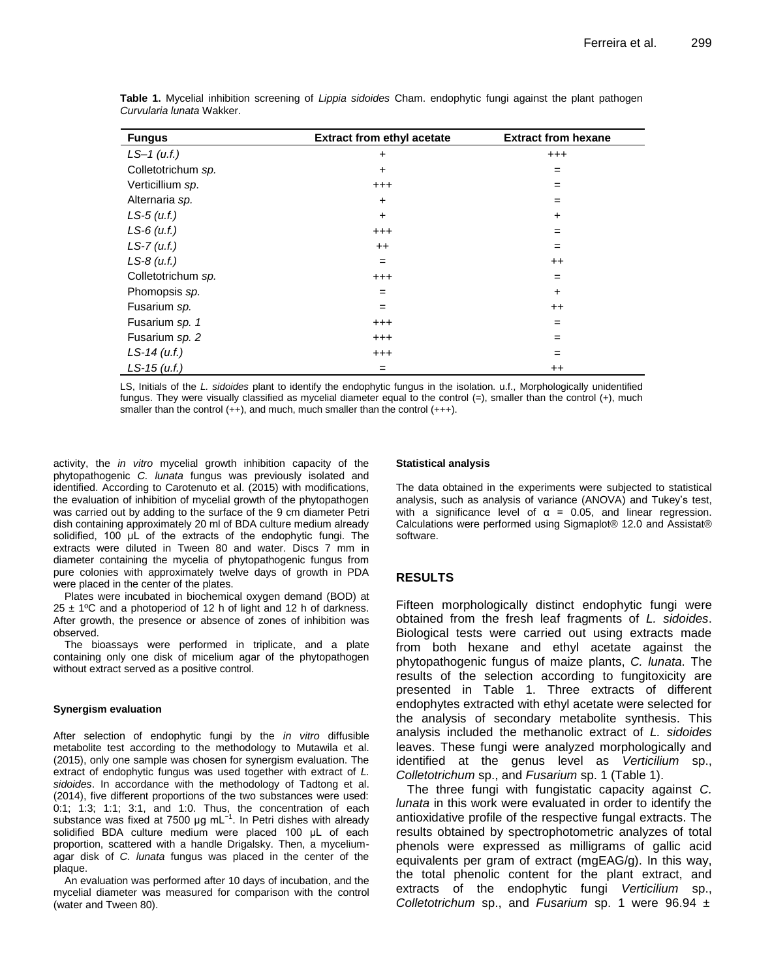| <b>Fungus</b>      | <b>Extract from ethyl acetate</b> | <b>Extract from hexane</b> |  |
|--------------------|-----------------------------------|----------------------------|--|
| $LS-1$ (u.f.)      | +                                 | $^{+++}$                   |  |
| Colletotrichum sp. | $\ddot{}$                         | $=$                        |  |
| Verticillium sp.   | $^{+++}$                          | $=$                        |  |
| Alternaria sp.     | $\ddot{}$                         | $=$                        |  |
| $LS-5$ (u.f.)      | $\ddot{}$                         | $\ddot{}$                  |  |
| LS-6 $(u.f.)$      | $^{+++}$                          | $=$                        |  |
| $LS - 7 (u.f.)$    | $^{++}$                           | $=$                        |  |
| $LS-8$ (u.f.)      | $=$                               | $^{++}$                    |  |
| Colletotrichum sp. | $^{+++}$                          | $=$                        |  |
| Phomopsis sp.      | $=$                               | $\ddot{}$                  |  |
| Fusarium sp.       | $=$                               | $^{++}$                    |  |
| Fusarium sp. 1     | $^{+++}$                          | $=$                        |  |
| Fusarium sp. 2     | $^{+++}$                          | $=$                        |  |
| $LS-14$ (u.f.)     | $^{+++}$                          | $=$                        |  |
| $LS-15$ (u.f.)     | $=$                               | $^{\mathrm{+}}$            |  |

**Table 1.** Mycelial inhibition screening of *Lippia sidoides* Cham. endophytic fungi against the plant pathogen *Curvularia lunata* Wakker.

LS, Initials of the *L. sidoides* plant to identify the endophytic fungus in the isolation. u.f., Morphologically unidentified fungus. They were visually classified as mycelial diameter equal to the control (=), smaller than the control (+), much smaller than the control  $(++)$ , and much, much smaller than the control  $(++)$ .

activity, the *in vitro* mycelial growth inhibition capacity of the phytopathogenic *C. lunata* fungus was previously isolated and identified. According to Carotenuto et al. (2015) with modifications, the evaluation of inhibition of mycelial growth of the phytopathogen was carried out by adding to the surface of the 9 cm diameter Petri dish containing approximately 20 ml of BDA culture medium already solidified, 100 μL of the extracts of the endophytic fungi. The extracts were diluted in Tween 80 and water. Discs 7 mm in diameter containing the mycelia of phytopathogenic fungus from pure colonies with approximately twelve days of growth in PDA were placed in the center of the plates.

Plates were incubated in biochemical oxygen demand (BOD) at  $25 \pm 1$ <sup>o</sup>C and a photoperiod of 12 h of light and 12 h of darkness. After growth, the presence or absence of zones of inhibition was observed.

The bioassays were performed in triplicate, and a plate containing only one disk of micelium agar of the phytopathogen without extract served as a positive control.

#### **Synergism evaluation**

After selection of endophytic fungi by the *in vitro* diffusible metabolite test according to the methodology to Mutawila et al. (2015), only one sample was chosen for synergism evaluation. The extract of endophytic fungus was used together with extract of *L. sidoides*. In accordance with the methodology of Tadtong et al. (2014), five different proportions of the two substances were used: 0:1; 1:3; 1:1; 3:1, and 1:0. Thus, the concentration of each substance was fixed at 7500 µg mL $^{-1}$ . In Petri dishes with already solidified BDA culture medium were placed 100 μL of each proportion, scattered with a handle Drigalsky. Then, a myceliumagar disk of *C. lunata* fungus was placed in the center of the plaque.

An evaluation was performed after 10 days of incubation, and the mycelial diameter was measured for comparison with the control (water and Tween 80).

#### **Statistical analysis**

The data obtained in the experiments were subjected to statistical analysis, such as analysis of variance (ANOVA) and Tukey's test, with a significance level of  $\alpha = 0.05$ , and linear regression. Calculations were performed using Sigmaplot® 12.0 and Assistat® software.

# **RESULTS**

Fifteen morphologically distinct endophytic fungi were obtained from the fresh leaf fragments of *L. sidoides*. Biological tests were carried out using extracts made from both hexane and ethyl acetate against the phytopathogenic fungus of maize plants, *C. lunata*. The results of the selection according to fungitoxicity are presented in Table 1. Three extracts of different endophytes extracted with ethyl acetate were selected for the analysis of secondary metabolite synthesis. This analysis included the methanolic extract of *L. sidoides* leaves. These fungi were analyzed morphologically and identified at the genus level as *Verticilium* sp., *Colletotrichum* sp., and *Fusarium* sp. 1 (Table 1).

The three fungi with fungistatic capacity against *C. lunata* in this work were evaluated in order to identify the antioxidative profile of the respective fungal extracts. The results obtained by spectrophotometric analyzes of total phenols were expressed as milligrams of gallic acid equivalents per gram of extract (mgEAG/g). In this way, the total phenolic content for the plant extract, and extracts of the endophytic fungi *Verticilium* sp., *Colletotrichum* sp., and *Fusarium* sp. 1 were 96.94 ±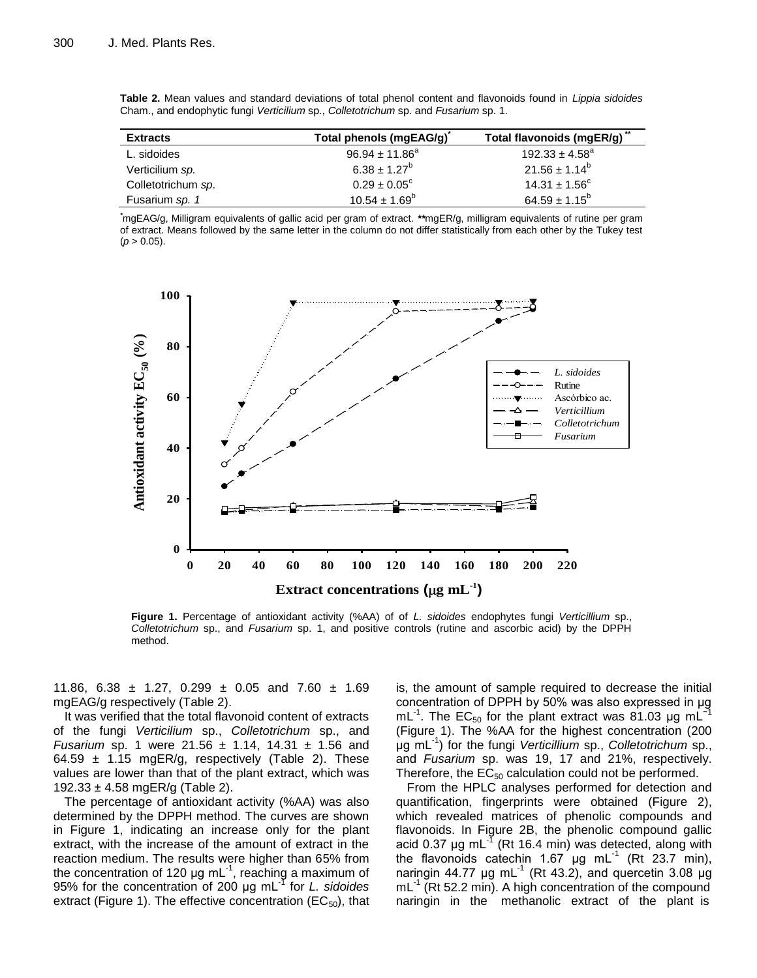| <b>Extracts</b>    | Total phenols (mqEAG/q) | Total flavonoids (mgER/g) |
|--------------------|-------------------------|---------------------------|
| L. sidoides        | $96.94 \pm 11.86^a$     | $192.33 \pm 4.58^a$       |
| Verticilium sp.    | $6.38 \pm 1.27^b$       | $21.56 \pm 1.14^b$        |
| Colletotrichum sp. | $0.29 \pm 0.05^{\circ}$ | $14.31 \pm 1.56^{\circ}$  |
| Fusarium sp. 1     | $10.54 \pm 1.69^b$      | $64.59 \pm 1.15^b$        |

**Table 2.** Mean values and standard deviations of total phenol content and flavonoids found in *Lippia sidoides* Cham., and endophytic fungi *Verticilium* sp., *Colletotrichum* sp. and *Fusarium* sp. 1.

*\**mgEAG/g, Milligram equivalents of gallic acid per gram of extract. *\*\**mgER/g, milligram equivalents of rutine per gram of extract. Means followed by the same letter in the column do not differ statistically from each other by the Tukey test  $(p > 0.05)$ .



**Figure 1.** Percentage of antioxidant activity (%AA) of of *L. sidoides* endophytes fungi *Verticillium* sp., *Colletotrichum* sp., and *Fusarium* sp. 1, and positive controls (rutine and ascorbic acid) by the DPPH method.

11.86, 6.38  $\pm$  1.27, 0.299  $\pm$  0.05 and 7.60  $\pm$  1.69 mgEAG/g respectively (Table 2).

It was verified that the total flavonoid content of extracts of the fungi *Verticilium* sp., *Colletotrichum* sp., and *Fusarium* sp. 1 were 21.56 ± 1.14, 14.31 ± 1.56 and 64.59  $\pm$  1.15 mgER/g, respectively (Table 2). These values are lower than that of the plant extract, which was 192.33 ± 4.58 mgER/g (Table 2).

The percentage of antioxidant activity (%AA) was also determined by the DPPH method. The curves are shown in Figure 1, indicating an increase only for the plant extract, with the increase of the amount of extract in the reaction medium. The results were higher than 65% from the concentration of 120  $\mu$ g mL $^{-1}$ , reaching a maximum of 95% for the concentration of 200 μg mL<sup>-1</sup> for *L. sidoides* extract (Figure 1). The effective concentration ( $EC_{50}$ ), that

is, the amount of sample required to decrease the initial concentration of DPPH by 50% was also expressed in μg mL<sup>-1</sup>. The EC<sub>50</sub> for the plant extract was 81.03 µg mL<sup>-1</sup> (Figure 1). The %AA for the highest concentration (200 μg mL-1 ) for the fungi *Verticillium* sp., *Colletotrichum* sp., and *Fusarium* sp. was 19, 17 and 21%, respectively. Therefore, the  $EC_{50}$  calculation could not be performed.

From the HPLC analyses performed for detection and quantification, fingerprints were obtained (Figure 2), which revealed matrices of phenolic compounds and flavonoids. In Figure 2B, the phenolic compound gallic acid 0.37 µg mL $<sup>1</sup>$  (Rt 16.4 min) was detected, along with</sup> the flavonoids catechin  $1.67 \mu g$  mL<sup>-1</sup> (Rt 23.7 min), naringin 44.77 μg mL<sup>-1</sup> (Rt 43.2), and quercetin 3.08 μg mL<sup>-1</sup> (Rt 52.2 min). A high concentration of the compound naringin in the methanolic extract of the plant is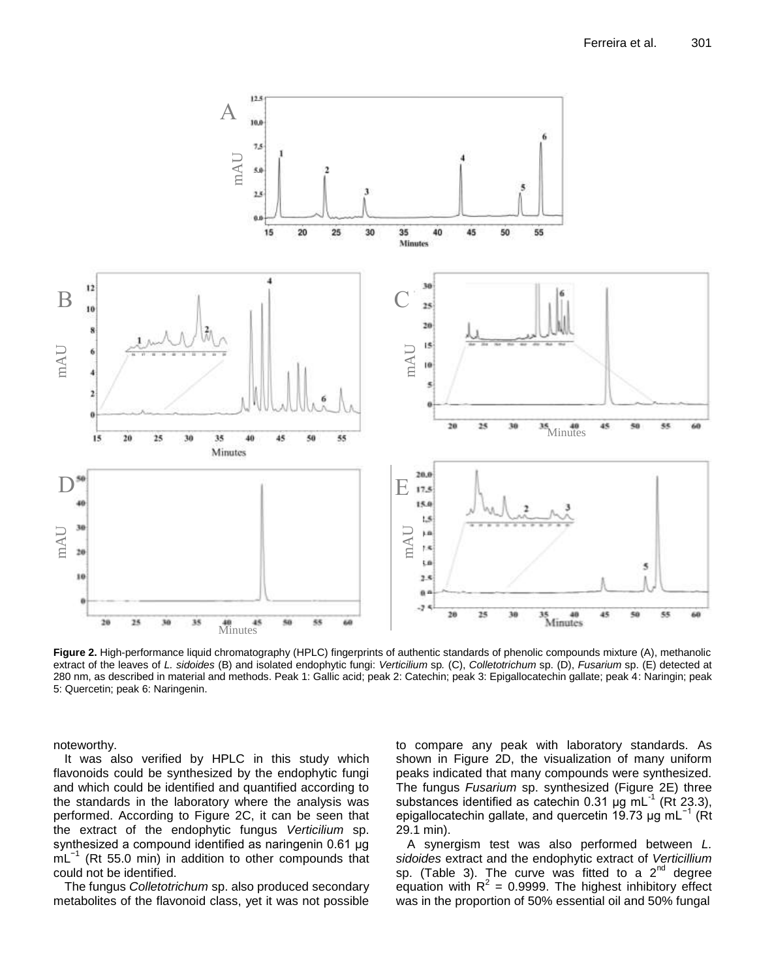

**Figure 2.** High-performance liquid chromatography (HPLC) fingerprints of authentic standards of phenolic compounds mixture (A), methanolic extract of the leaves of *L. sidoides* (B) and isolated endophytic fungi: *Verticilium* sp*.* (C), *Colletotrichum* sp. (D), *Fusarium* sp. (E) detected at 280 nm, as described in material and methods. Peak 1: Gallic acid; peak 2: Catechin; peak 3: Epigallocatechin gallate; peak 4: Naringin; peak 5: Quercetin; peak 6: Naringenin.

noteworthy.

It was also verified by HPLC in this study which flavonoids could be synthesized by the endophytic fungi and which could be identified and quantified according to the standards in the laboratory where the analysis was performed. According to Figure 2C, it can be seen that the extract of the endophytic fungus *Verticilium* sp. synthesized a compound identified as naringenin 0.61 μg mL<sup>-1</sup> (Rt 55.0 min) in addition to other compounds that could not be identified.

The fungus *Colletotrichum* sp. also produced secondary metabolites of the flavonoid class, yet it was not possible

to compare any peak with laboratory standards. As shown in Figure 2D, the visualization of many uniform peaks indicated that many compounds were synthesized. The fungus *Fusarium* sp. synthesized (Figure 2E) three substances identified as catechin 0.31  $\mu$ g mL<sup>-1</sup> (Rt 23.3), epigallocatechin gallate, and quercetin 19.73 μg mL−1 (Rt 29.1 min).

A synergism test was also performed between *L. sidoides* extract and the endophytic extract of *Verticillium* sp. (Table 3). The curve was fitted to a  $2^{nd}$  degree equation with  $R^2$  = 0.9999. The highest inhibitory effect was in the proportion of 50% essential oil and 50% fungal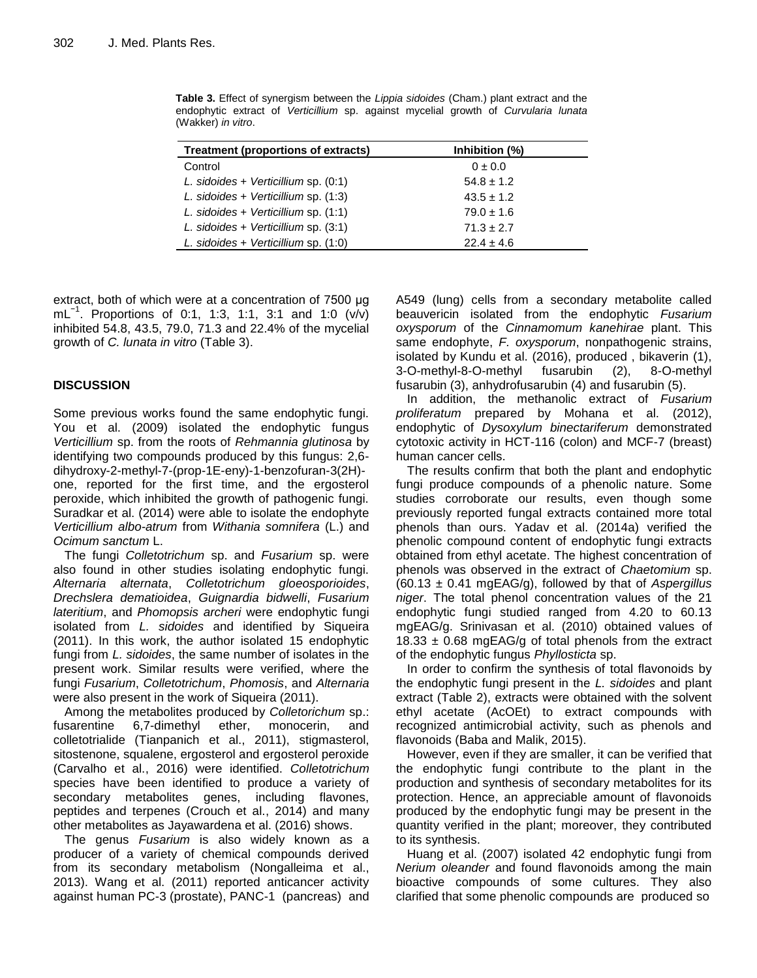**Table 3.** Effect of synergism between the *Lippia sidoides* (Cham.) plant extract and the endophytic extract of *Verticillium* sp. against mycelial growth of *Curvularia lunata* (Wakker) *in vitro*.

| <b>Treatment (proportions of extracts)</b> | Inhibition (%) |  |
|--------------------------------------------|----------------|--|
| Control                                    | $0 \pm 0.0$    |  |
| L. sidoides + Verticillium sp. $(0.1)$     | $54.8 \pm 1.2$ |  |
| L. sidoides + Verticillium sp. $(1:3)$     | $43.5 \pm 1.2$ |  |
| L. sidoides + Verticillium sp. $(1:1)$     | $79.0 \pm 1.6$ |  |
| L. sidoides + Verticillium sp. (3:1)       | $71.3 \pm 2.7$ |  |
| L. sidoides + Verticillium sp. (1:0)       | $22.4 \pm 4.6$ |  |

extract, both of which were at a concentration of 7500 μg mL<sup>-1</sup>. Proportions of 0:1, 1:3, 1:1, 3:1 and 1:0 (v/v) inhibited 54.8, 43.5, 79.0, 71.3 and 22.4% of the mycelial growth of *C. lunata in vitro* (Table 3).

# **DISCUSSION**

Some previous works found the same endophytic fungi. You et al. (2009) isolated the endophytic fungus *Verticillium* sp. from the roots of *Rehmannia glutinosa* by identifying two compounds produced by this fungus: 2,6 dihydroxy-2-methyl-7-(prop-1E-eny)-1-benzofuran-3(2H) one, reported for the first time, and the ergosterol peroxide, which inhibited the growth of pathogenic fungi. Suradkar et al. (2014) were able to isolate the endophyte *Verticillium albo-atrum* from *Withania somnifera* (L.) and *Ocimum sanctum* L.

The fungi *Colletotrichum* sp. and *Fusarium* sp. were also found in other studies isolating endophytic fungi. *Alternaria alternata*, *Colletotrichum gloeosporioides*, *Drechslera dematioidea*, *Guignardia bidwelli*, *Fusarium lateritium*, and *Phomopsis archeri* were endophytic fungi isolated from *L. sidoides* and identified by Siqueira (2011). In this work, the author isolated 15 endophytic fungi from *L. sidoides*, the same number of isolates in the present work. Similar results were verified, where the fungi *Fusarium*, *Colletotrichum*, *Phomosis*, and *Alternaria* were also present in the work of Siqueira (2011).

Among the metabolites produced by *Colletorichum* sp.: fusarentine 6,7-dimethyl ether, monocerin, and colletotrialide (Tianpanich et al., 2011), stigmasterol, sitostenone, squalene, ergosterol and ergosterol peroxide (Carvalho et al., 2016) were identified. *Colletotrichum* species have been identified to produce a variety of secondary metabolites genes, including flavones, peptides and terpenes (Crouch et al., 2014) and many other metabolites as Jayawardena et al. (2016) shows.

The genus *Fusarium* is also widely known as a producer of a variety of chemical compounds derived from its secondary metabolism (Nongalleima et al., 2013). Wang et al. (2011) reported anticancer activity against human PC-3 (prostate), PANC-1 (pancreas) and A549 (lung) cells from a secondary metabolite called beauvericin isolated from the endophytic *Fusarium oxysporum* of the *Cinnamomum kanehirae* plant. This same endophyte, *F. oxysporum*, nonpathogenic strains, isolated by Kundu et al. (2016), produced , bikaverin (1), 3-O-methyl-8-O-methyl fusarubin (2), 8-O-methyl fusarubin (3), anhydrofusarubin (4) and fusarubin (5).

In addition, the methanolic extract of *Fusarium proliferatum* prepared by Mohana et al. (2012), endophytic of *Dysoxylum binectariferum* demonstrated cytotoxic activity in HCT-116 (colon) and MCF-7 (breast) human cancer cells.

The results confirm that both the plant and endophytic fungi produce compounds of a phenolic nature. Some studies corroborate our results, even though some previously reported fungal extracts contained more total phenols than ours. Yadav et al. (2014a) verified the phenolic compound content of endophytic fungi extracts obtained from ethyl acetate. The highest concentration of phenols was observed in the extract of *Chaetomium* sp. (60.13 ± 0.41 mgEAG/g), followed by that of *Aspergillus niger*. The total phenol concentration values of the 21 endophytic fungi studied ranged from 4.20 to 60.13 mgEAG/g. Srinivasan et al. (2010) obtained values of 18.33  $\pm$  0.68 mgEAG/g of total phenols from the extract of the endophytic fungus *Phyllosticta* sp.

In order to confirm the synthesis of total flavonoids by the endophytic fungi present in the *L. sidoides* and plant extract (Table 2), extracts were obtained with the solvent ethyl acetate (AcOEt) to extract compounds with recognized antimicrobial activity, such as phenols and flavonoids (Baba and Malik, 2015).

However, even if they are smaller, it can be verified that the endophytic fungi contribute to the plant in the production and synthesis of secondary metabolites for its protection. Hence, an appreciable amount of flavonoids produced by the endophytic fungi may be present in the quantity verified in the plant; moreover, they contributed to its synthesis.

Huang et al. (2007) isolated 42 endophytic fungi from *Nerium oleander* and found flavonoids among the main bioactive compounds of some cultures. They also clarified that some phenolic compounds are produced so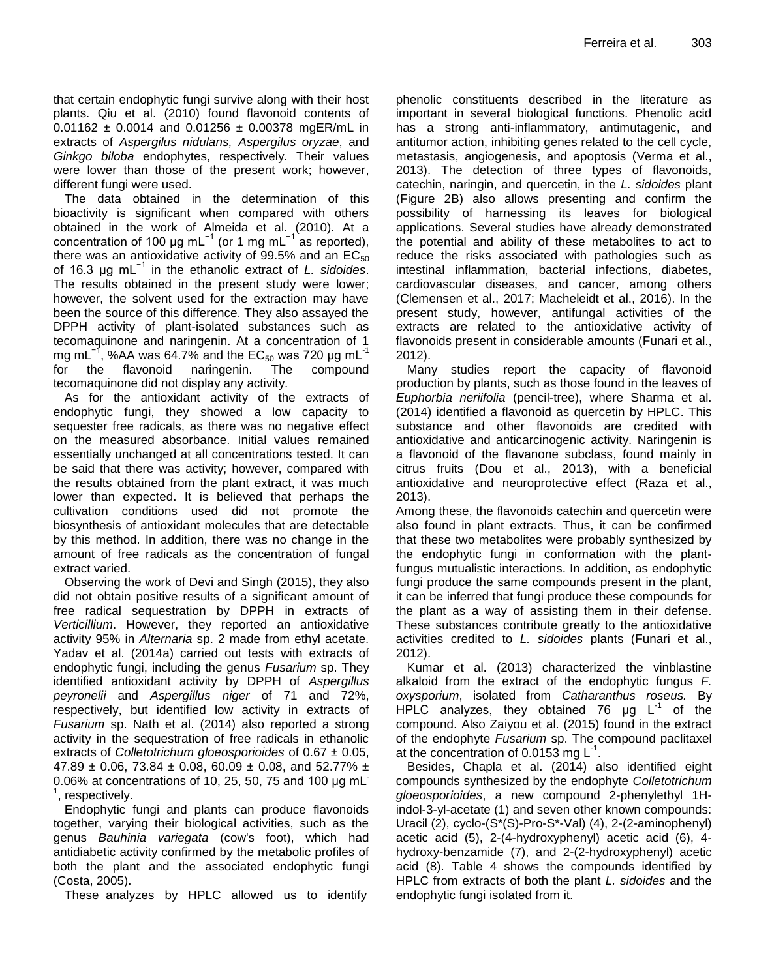that certain endophytic fungi survive along with their host plants. Qiu et al. (2010) found flavonoid contents of  $0.01162 \pm 0.0014$  and  $0.01256 \pm 0.00378$  mgER/mL in extracts of *Aspergilus nidulans, Aspergilus oryzae*, and *Ginkgo biloba* endophytes, respectively. Their values were lower than those of the present work; however, different fungi were used.

The data obtained in the determination of this bioactivity is significant when compared with others obtained in the work of Almeida et al. (2010). At a concentration of 100 µg mL<sup>-1</sup> (or 1 mg mL<sup>-1</sup> as reported), there was an antioxidative activity of 99.5% and an  $EC_{50}$ of 16.3 μg mL−1 in the ethanolic extract of *L. sidoides*. The results obtained in the present study were lower; however, the solvent used for the extraction may have been the source of this difference. They also assayed the DPPH activity of plant-isolated substances such as tecomaquinone and naringenin. At a concentration of 1 mg mL<sup>-1</sup>, %AA was 64.7% and the EC<sub>50</sub> was 720 µg mL<sup>-1</sup> for the flavonoid naringenin. The compound tecomaquinone did not display any activity.

As for the antioxidant activity of the extracts of endophytic fungi, they showed a low capacity to sequester free radicals, as there was no negative effect on the measured absorbance. Initial values remained essentially unchanged at all concentrations tested. It can be said that there was activity; however, compared with the results obtained from the plant extract, it was much lower than expected. It is believed that perhaps the cultivation conditions used did not promote the biosynthesis of antioxidant molecules that are detectable by this method. In addition, there was no change in the amount of free radicals as the concentration of fungal extract varied.

Observing the work of Devi and Singh (2015), they also did not obtain positive results of a significant amount of free radical sequestration by DPPH in extracts of *Verticillium*. However, they reported an antioxidative activity 95% in *Alternaria* sp. 2 made from ethyl acetate. Yadav et al. (2014a) carried out tests with extracts of endophytic fungi, including the genus *Fusarium* sp. They identified antioxidant activity by DPPH of *Aspergillus peyronelii* and *Aspergillus niger* of 71 and 72%, respectively, but identified low activity in extracts of *Fusarium* sp. Nath et al. (2014) also reported a strong activity in the sequestration of free radicals in ethanolic extracts of *Colletotrichum gloeosporioides* of 0.67 ± 0.05, 47.89  $\pm$  0.06, 73.84  $\pm$  0.08, 60.09  $\pm$  0.08, and 52.77%  $\pm$ 0.06% at concentrations of 10, 25, 50, 75 and 100 μg mL-<sup>1</sup>, respectively.

Endophytic fungi and plants can produce flavonoids together, varying their biological activities, such as the genus *Bauhinia variegata* (cow's foot), which had antidiabetic activity confirmed by the metabolic profiles of both the plant and the associated endophytic fungi (Costa, 2005).

These analyzes by HPLC allowed us to identify

phenolic constituents described in the literature as important in several biological functions. Phenolic acid has a strong anti-inflammatory, antimutagenic, and antitumor action, inhibiting genes related to the cell cycle, metastasis, angiogenesis, and apoptosis (Verma et al., 2013). The detection of three types of flavonoids, catechin, naringin, and quercetin, in the *L. sidoides* plant (Figure 2B) also allows presenting and confirm the possibility of harnessing its leaves for biological applications. Several studies have already demonstrated the potential and ability of these metabolites to act to reduce the risks associated with pathologies such as intestinal inflammation, bacterial infections, diabetes, cardiovascular diseases, and cancer, among others (Clemensen et al., 2017; Macheleidt et al., 2016). In the present study, however, antifungal activities of the extracts are related to the antioxidative activity of flavonoids present in considerable amounts (Funari et al., 2012).

Many studies report the capacity of flavonoid production by plants, such as those found in the leaves of *Euphorbia neriifolia* (pencil-tree), where Sharma et al. (2014) identified a flavonoid as quercetin by HPLC. This substance and other flavonoids are credited with antioxidative and anticarcinogenic activity. Naringenin is a flavonoid of the flavanone subclass, found mainly in citrus fruits (Dou et al., 2013), with a beneficial antioxidative and neuroprotective effect (Raza et al., 2013).

Among these, the flavonoids catechin and quercetin were also found in plant extracts. Thus, it can be confirmed that these two metabolites were probably synthesized by the endophytic fungi in conformation with the plantfungus mutualistic interactions. In addition, as endophytic fungi produce the same compounds present in the plant, it can be inferred that fungi produce these compounds for the plant as a way of assisting them in their defense. These substances contribute greatly to the antioxidative activities credited to *L. sidoides* plants (Funari et al., 2012).

Kumar et al. (2013) characterized the vinblastine alkaloid from the extract of the endophytic fungus *F. oxysporium*, isolated from *Catharanthus roseus.* By HPLC analyzes, they obtained 76  $\mu$ g L<sup>-1</sup> of the compound. Also Zaiyou et al. (2015) found in the extract of the endophyte *Fusarium* sp. The compound paclitaxel at the concentration of 0.0153 mg  $L^{-1}$ .

Besides, Chapla et al. (2014) also identified eight compounds synthesized by the endophyte *Colletotrichum gloeosporioides*, a new compound 2-phenylethyl 1Hindol-3-yl-acetate (1) and seven other known compounds: Uracil (2), cyclo-(S\*(S)-Pro-S\*-Val) (4), 2-(2-aminophenyl) acetic acid (5), 2-(4-hydroxyphenyl) acetic acid (6), 4 hydroxy-benzamide (7), and 2-(2-hydroxyphenyl) acetic acid (8). Table 4 shows the compounds identified by HPLC from extracts of both the plant *L. sidoides* and the endophytic fungi isolated from it.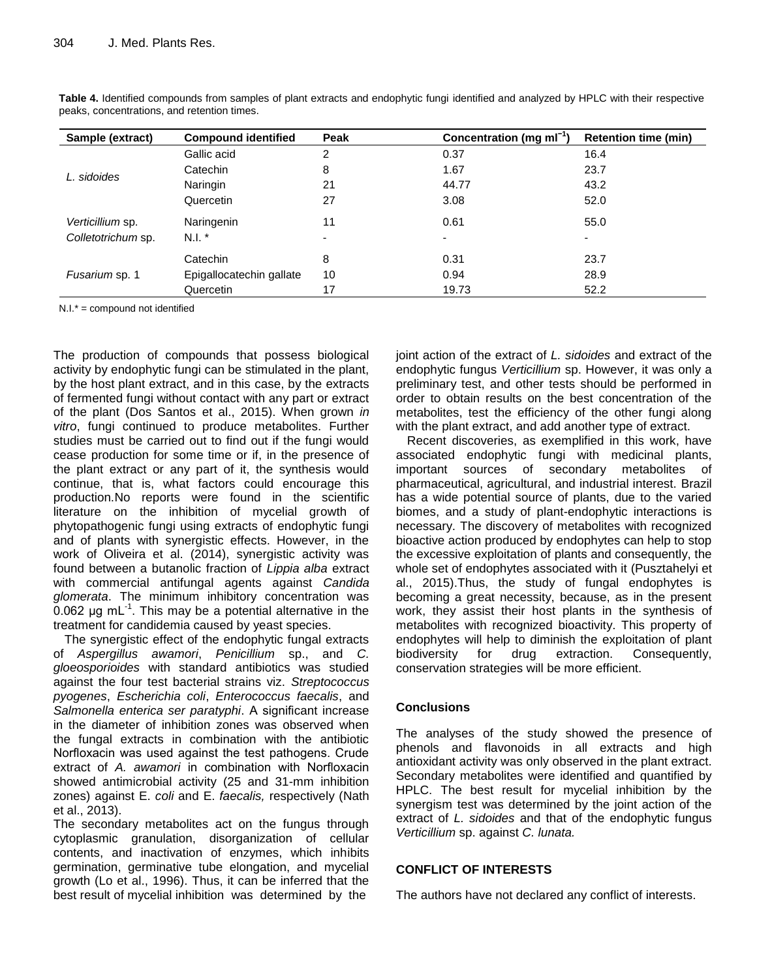| Sample (extract)   | <b>Compound identified</b> | Peak                     | Concentration (mg $ml^{-1}$ ) | <b>Retention time (min)</b> |
|--------------------|----------------------------|--------------------------|-------------------------------|-----------------------------|
| L. sidoides        | Gallic acid                | $\overline{2}$           | 0.37                          | 16.4                        |
|                    | Catechin                   | 8                        | 1.67                          | 23.7                        |
|                    | Naringin                   | 21                       | 44.77                         | 43.2                        |
|                    | Quercetin                  | 27                       | 3.08                          | 52.0                        |
| Verticillium sp.   | Naringenin                 | 11                       | 0.61                          | 55.0                        |
| Colletotrichum sp. | N.I.                       | $\overline{\phantom{a}}$ | $\overline{\phantom{a}}$      |                             |
| Fusarium sp. 1     | Catechin                   | 8                        | 0.31                          | 23.7                        |
|                    | Epigallocatechin gallate   | 10                       | 0.94                          | 28.9                        |
|                    | Quercetin                  | 17                       | 19.73                         | 52.2                        |

**Table 4.** Identified compounds from samples of plant extracts and endophytic fungi identified and analyzed by HPLC with their respective peaks, concentrations, and retention times.

N.I.\* = compound not identified

The production of compounds that possess biological activity by endophytic fungi can be stimulated in the plant, by the host plant extract, and in this case, by the extracts of fermented fungi without contact with any part or extract of the plant (Dos Santos et al., 2015). When grown *in vitro*, fungi continued to produce metabolites. Further studies must be carried out to find out if the fungi would cease production for some time or if, in the presence of the plant extract or any part of it, the synthesis would continue, that is, what factors could encourage this production.No reports were found in the scientific literature on the inhibition of mycelial growth of phytopathogenic fungi using extracts of endophytic fungi and of plants with synergistic effects. However, in the work of Oliveira et al. (2014), synergistic activity was found between a butanolic fraction of *Lippia alba* extract with commercial antifungal agents against *Candida glomerata*. The minimum inhibitory concentration was  $0.062$  µg mL $^{-1}$ . This may be a potential alternative in the treatment for candidemia caused by yeast species.

The synergistic effect of the endophytic fungal extracts of *Aspergillus awamori*, *Penicillium* sp., and *C. gloeosporioides* with standard antibiotics was studied against the four test bacterial strains viz. *Streptococcus pyogenes*, *Escherichia coli*, *Enterococcus faecalis*, and *Salmonella enterica ser paratyphi*. A significant increase in the diameter of inhibition zones was observed when the fungal extracts in combination with the antibiotic Norfloxacin was used against the test pathogens. Crude extract of *A. awamori* in combination with Norfloxacin showed antimicrobial activity (25 and 31-mm inhibition zones) against E. *coli* and E. *faecalis,* respectively (Nath et al., 2013).

The secondary metabolites act on the fungus through cytoplasmic granulation, disorganization of cellular contents, and inactivation of enzymes, which inhibits germination, germinative tube elongation, and mycelial growth (Lo et al., 1996). Thus, it can be inferred that the best result of mycelial inhibition was determined by the

joint action of the extract of *L. sidoides* and extract of the endophytic fungus *Verticillium* sp. However, it was only a preliminary test, and other tests should be performed in order to obtain results on the best concentration of the metabolites, test the efficiency of the other fungi along with the plant extract, and add another type of extract.

Recent discoveries, as exemplified in this work, have associated endophytic fungi with medicinal plants, important sources of secondary metabolites of pharmaceutical, agricultural, and industrial interest. Brazil has a wide potential source of plants, due to the varied biomes, and a study of plant-endophytic interactions is necessary. The discovery of metabolites with recognized bioactive action produced by endophytes can help to stop the excessive exploitation of plants and consequently, the whole set of endophytes associated with it (Pusztahelyi et al., 2015).Thus, the study of fungal endophytes is becoming a great necessity, because, as in the present work, they assist their host plants in the synthesis of metabolites with recognized bioactivity. This property of endophytes will help to diminish the exploitation of plant biodiversity for drug extraction. Consequently, conservation strategies will be more efficient.

# **Conclusions**

The analyses of the study showed the presence of phenols and flavonoids in all extracts and high antioxidant activity was only observed in the plant extract. Secondary metabolites were identified and quantified by HPLC. The best result for mycelial inhibition by the synergism test was determined by the joint action of the extract of *L. sidoides* and that of the endophytic fungus *Verticillium* sp. against *C. lunata.*

# **CONFLICT OF INTERESTS**

The authors have not declared any conflict of interests.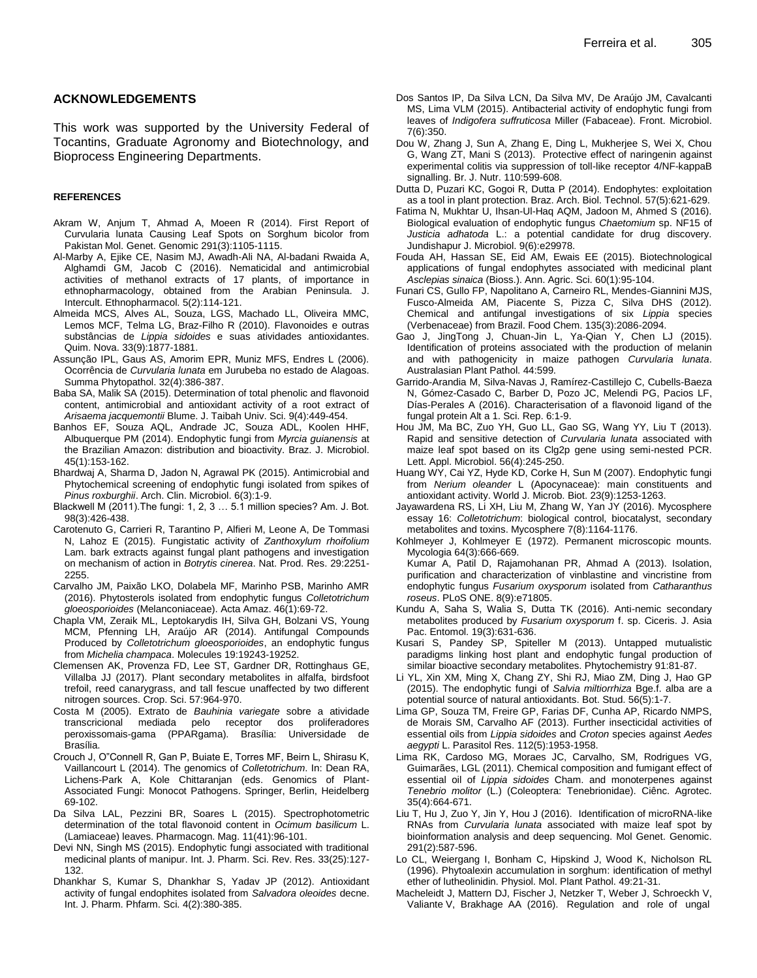### **ACKNOWLEDGEMENTS**

This work was supported by the University Federal of Tocantins, Graduate Agronomy and Biotechnology, and Bioprocess Engineering Departments.

#### **REFERENCES**

- Akram W, Anjum T, Ahmad A, Moeen R (2014). First Report of Curvularia lunata Causing Leaf Spots on Sorghum bicolor from Pakistan Mol. Genet. Genomic 291(3):1105-1115.
- Al-Marby A, Ejike CE, Nasim MJ, Awadh-Ali NA, Al-badani Rwaida A, Alghamdi GM, Jacob C (2016). Nematicidal and antimicrobial activities of methanol extracts of 17 plants, of importance in ethnopharmacology, obtained from the Arabian Peninsula. J. Intercult. Ethnopharmacol. 5(2):114-121.
- Almeida MCS, Alves AL, Souza, LGS, Machado LL, Oliveira MMC, Lemos MCF, Telma LG, Braz-Filho R (2010). Flavonoides e outras substâncias de *Lippia sidoides* e suas atividades antioxidantes. Quim. Nova. 33(9):1877-1881.
- Assunção IPL, Gaus AS, Amorim EPR, Muniz MFS, Endres L (2006). Ocorrência de *Curvularia lunata* em Jurubeba no estado de Alagoas. Summa Phytopathol. 32(4):386-387.
- Baba SA, Malik SA (2015). Determination of total phenolic and flavonoid content, antimicrobial and antioxidant activity of a root extract of *Arisaema jacquemontii* Blume. J. Taibah Univ. Sci. 9(4):449-454.
- Banhos EF, Souza AQL, Andrade JC, Souza ADL, Koolen HHF, Albuquerque PM (2014). Endophytic fungi from *Myrcia guianensis* at the Brazilian Amazon: distribution and bioactivity. Braz. J. Microbiol. 45(1):153-162.
- Bhardwaj A, Sharma D, Jadon N, Agrawal PK (2015). Antimicrobial and Phytochemical screening of endophytic fungi isolated from spikes of *Pinus roxburghii*. Arch. Clin. Microbiol. 6(3):1-9.
- Blackwell M (2011).The fungi: 1, 2, 3 … 5.1 million species? Am. J. Bot. 98(3):426-438.
- Carotenuto G, Carrieri R, Tarantino P, Alfieri M, Leone A, De Tommasi N, Lahoz E (2015). Fungistatic activity of *Zanthoxylum rhoifolium* Lam. bark extracts against fungal plant pathogens and investigation on mechanism of action in *Botrytis cinerea*. Nat. Prod. Res. 29:2251- 2255.
- Carvalho JM, Paixão LKO, Dolabela MF, Marinho PSB, Marinho AMR (2016). Phytosterols isolated from endophytic fungus *Colletotrichum gloeosporioides* (Melanconiaceae). Acta Amaz. 46(1):69-72.
- Chapla VM, Zeraik ML, Leptokarydis IH, Silva GH, Bolzani VS, Young MCM, Pfenning LH, Araújo AR (2014). Antifungal Compounds Produced by *Colletotrichum gloeosporioides*, an endophytic fungus from *Michelia champaca*. Molecules 19:19243-19252.
- Clemensen AK, Provenza FD, Lee ST, Gardner DR, Rottinghaus GE, Villalba JJ (2017). Plant secondary metabolites in alfalfa, birdsfoot trefoil, reed canarygrass, and tall fescue unaffected by two different nitrogen sources. Crop. Sci. 57:964-970.
- Costa M (2005). Extrato de *Bauhinia variegate* sobre a atividade transcricional mediada pelo receptor dos proliferadores peroxissomais-gama (PPARgama). Brasília: Universidade de Brasília.
- Crouch J, O"Connell R, Gan P, Buiate E, Torres MF, Beirn L, Shirasu K, Vaillancourt L (2014). The genomics of *Colletotrichum*. In: Dean RA, Lichens-Park A, Kole Chittaranjan (eds. Genomics of Plant-Associated Fungi: Monocot Pathogens. Springer, Berlin, Heidelberg 69-102.
- Da Silva LAL, Pezzini BR, Soares L (2015). Spectrophotometric determination of the total flavonoid content in *Ocimum basilicum* L. (Lamiaceae) leaves. Pharmacogn. Mag. 11(41):96-101.
- Devi NN, Singh MS (2015). Endophytic fungi associated with traditional medicinal plants of manipur. Int. J. Pharm. Sci. Rev. Res. 33(25):127- 132.
- Dhankhar S, Kumar S, Dhankhar S, Yadav JP (2012). Antioxidant activity of fungal endophites isolated from *Salvadora oleoides* decne. Int. J. Pharm. Phfarm. Sci. 4(2):380-385.
- Dos Santos IP, Da Silva LCN, Da Silva MV, De Araújo JM, Cavalcanti MS, Lima VLM (2015). Antibacterial activity of endophytic fungi from leaves of *Indigofera suffruticosa* Miller (Fabaceae). Front. Microbiol. 7(6):350.
- Dou W, Zhang J, Sun A, Zhang E, Ding L, Mukherjee S, Wei X, Chou G, Wang ZT, Mani S (2013). Protective effect of naringenin against experimental colitis via suppression of toll-like receptor 4/NF-kappaB signalling. Br. J. Nutr. 110:599-608.
- Dutta D, Puzari KC, Gogoi R, Dutta P (2014). Endophytes: exploitation as a tool in plant protection. Braz. Arch. Biol. Technol. 57(5):621-629.
- Fatima N, Mukhtar U, Ihsan-Ul-Haq AQM, Jadoon M, Ahmed S (2016). Biological evaluation of endophytic fungus *Chaetomium* sp. NF15 of *Justicia adhatoda* L.: a potential candidate for drug discovery. Jundishapur J. Microbiol. 9(6):e29978.
- Fouda AH, Hassan SE, Eid AM, Ewais EE (2015). Biotechnological applications of fungal endophytes associated with medicinal plant *Asclepias sinaica* (Bioss.). Ann. Agric. Sci. 60(1):95-104.
- Funari CS, Gullo FP, Napolitano A, Carneiro RL, Mendes-Giannini MJS, Fusco-Almeida AM, Piacente S, Pizza C, Silva DHS (2012). Chemical and antifungal investigations of six *Lippia* species (Verbenaceae) from Brazil. Food Chem. 135(3):2086-2094.
- Gao J, JingTong J, Chuan-Jin L, Ya-Qian Y, Chen LJ (2015). Identification of proteins associated with the production of melanin and with pathogenicity in maize pathogen *Curvularia lunata*. Australasian Plant Pathol. 44:599.
- Garrido-Arandia M, Silva-Navas J, Ramírez-Castillejo C, Cubells-Baeza N, Gómez-Casado C, Barber D, Pozo JC, Melendi PG, Pacios LF, Días-Perales A (2016). Characterisation of a flavonoid ligand of the fungal protein Alt a 1. Sci. Rep. 6:1-9.
- Hou JM, Ma BC, Zuo YH, Guo LL, Gao SG, Wang YY, Liu T (2013). Rapid and sensitive detection of *Curvularia lunata* associated with maize leaf spot based on its Clg2p gene using semi-nested PCR. Lett. Appl. Microbiol. 56(4):245-250.
- Huang WY, Cai YZ, Hyde KD, Corke H, Sun M (2007). Endophytic fungi from *Nerium oleander* L (Apocynaceae): main constituents and antioxidant activity. World J. Microb. Biot. 23(9):1253-1263.
- Jayawardena RS, Li XH, Liu M, Zhang W, Yan JY (2016). Mycosphere essay 16: *Colletotrichum*: biological control, biocatalyst, secondary metabolites and toxins. Mycosphere 7(8):1164-1176.
- Kohlmeyer J, Kohlmeyer E (1972). Permanent microscopic mounts. Mycologia 64(3):666-669.
- Kumar A, Patil D, Rajamohanan PR, Ahmad A (2013). Isolation, purification and characterization of vinblastine and vincristine from endophytic fungus *Fusarium oxysporum* isolated from *Catharanthus roseus*. PLoS ONE. 8(9):e71805.
- Kundu A, Saha S, Walia S, Dutta TK (2016). Anti-nemic secondary metabolites produced by *Fusarium oxysporum* f. sp. Ciceris. J. Asia Pac. Entomol. 19(3):631-636.
- Kusari S, Pandey SP, Spiteller M (2013). Untapped mutualistic paradigms linking host plant and endophytic fungal production of similar bioactive secondary metabolites. Phytochemistry 91:81-87.
- Li YL, Xin XM, Ming X, Chang ZY, Shi RJ, Miao ZM, Ding J, Hao GP (2015). The endophytic fungi of *Salvia miltiorrhiza* Bge.f. alba are a potential source of natural antioxidants. Bot. Stud. 56(5):1-7.
- Lima GP, Souza TM, Freire GP, Farias DF, Cunha AP, Ricardo NMPS, de Morais SM, Carvalho AF (2013). Further insecticidal activities of essential oils from *Lippia sidoides* and *Croton* species against *Aedes aegypti* L. Parasitol Res. 112(5):1953-1958.
- Lima RK, Cardoso MG, Moraes JC, Carvalho, SM, Rodrigues VG, Guimarães, LGL (2011). Chemical composition and fumigant effect of essential oil of *Lippia sidoides* Cham. and monoterpenes against *Tenebrio molitor* (L.) (Coleoptera: Tenebrionidae). Ciênc. Agrotec. 35(4):664-671.
- Liu T, Hu J, Zuo Y, Jin Y, Hou J (2016). Identification of microRNA-like RNAs from *Curvularia lunata* associated with maize leaf spot by bioinformation analysis and deep sequencing. Mol Genet. Genomic. 291(2):587-596.
- Lo CL, Weiergang I, Bonham C, Hipskind J, Wood K, Nicholson RL (1996). Phytoalexin accumulation in sorghum: identification of methyl ether of lutheolinidin. Physiol. Mol. Plant Pathol. 49:21-31.
- Macheleidt J, Mattern DJ, Fischer J, Netzker T, Weber J, Schroeckh V, Valiante V, Brakhage AA (2016). Regulation and role of ungal